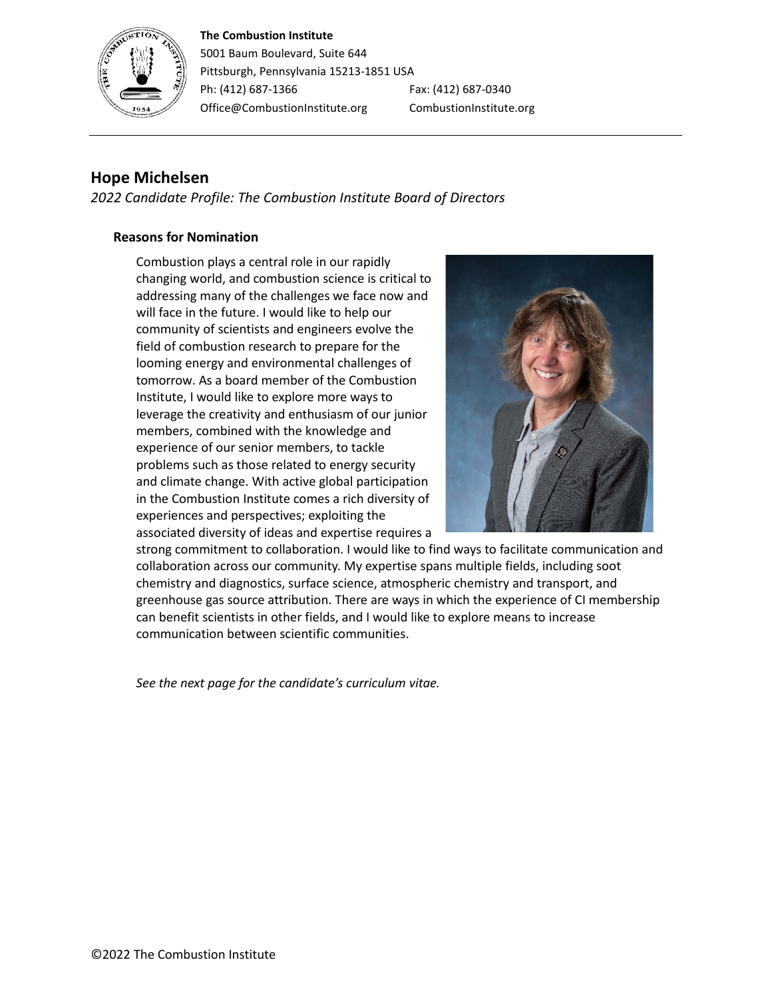## **The Combustion Institute**



5001 Baum Boulevard, Suite 644 Pittsburgh, Pennsylvania 15213-1851 USA Ph: (412) 687-1366 Fax: (412) 687-0340 Office@CombustionInstitute.org CombustionInstitute.org

## **Hope Michelsen**

*2022 Candidate Profile: The Combustion Institute Board of Directors*

## **Reasons for Nomination**

Combustion plays a central role in our rapidly changing world, and combustion science is critical to addressing many of the challenges we face now and will face in the future. I would like to help our community of scientists and engineers evolve the field of combustion research to prepare for the looming energy and environmental challenges of tomorrow. As a board member of the Combustion Institute, I would like to explore more ways to leverage the creativity and enthusiasm of our junior members, combined with the knowledge and experience of our senior members, to tackle problems such as those related to energy security and climate change. With active global participation in the Combustion Institute comes a rich diversity of experiences and perspectives; exploiting the associated diversity of ideas and expertise requires a



strong commitment to collaboration. I would like to find ways to facilitate communication and collaboration across our community. My expertise spans multiple fields, including soot chemistry and diagnostics, surface science, atmospheric chemistry and transport, and greenhouse gas source attribution. There are ways in which the experience of CI membership can benefit scientists in other fields, and I would like to explore means to increase communication between scientific communities.

*See the next page for the candidate's curriculum vitae.*